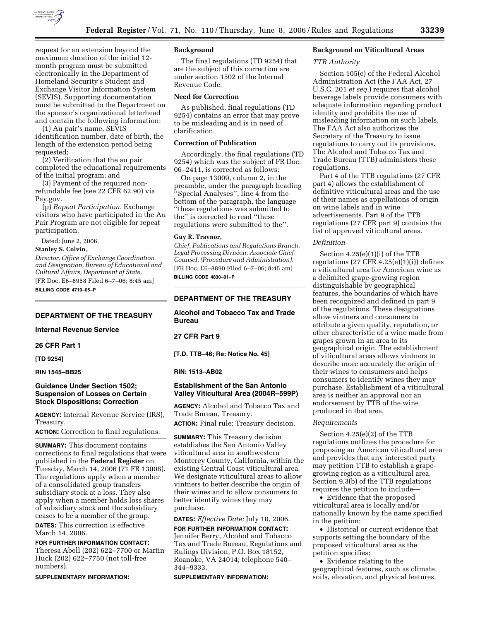

request for an extension beyond the maximum duration of the initial 12 month program must be submitted electronically in the Department of Homeland Security's Student and Exchange Visitor Information System (SEVIS). Supporting documentation must be submitted to the Department on the sponsor's organizational letterhead and contain the following information:

(1) Au pair's name, SEVIS identification number, date of birth, the length of the extension period being requested;

(2) Verification that the au pair completed the educational requirements of the initial program; and

(3) Payment of the required nonrefundable fee (see 22 CFR 62.90) via Pay.gov.

(p) *Repeat Participation.* Exchange visitors who have participated in the Au Pair Program are not eligible for repeat participation.

Dated: June 2, 2006.

**Stanley S. Colvin,** 

*Director, Office of Exchange Coordination and Designation, Bureau of Educational and Cultural Affairs, Department of State.*  [FR Doc. E6–8958 Filed 6–7–06; 8:45 am] **BILLING CODE 4710–05–P** 

# **DEPARTMENT OF THE TREASURY**

# **Internal Revenue Service**

**26 CFR Part 1** 

**[TD 9254]** 

## **RIN 1545–BB25**

## **Guidance Under Section 1502; Suspension of Losses on Certain Stock Dispositions; Correction**

**AGENCY:** Internal Revenue Service (IRS), Treasury.

**ACTION:** Correction to final regulations.

**SUMMARY:** This document contains corrections to final regulations that were published in the **Federal Register** on Tuesday, March 14, 2006 (71 FR 13008). The regulations apply when a member of a consolidated group transfers subsidiary stock at a loss. They also apply when a member holds loss shares of subsidiary stock and the subsidiary ceases to be a member of the group. **DATES:** This correction is effective

March 14, 2006.

**FOR FURTHER INFORMATION CONTACT:**  Theresa Abell (202) 622–7700 or Martin Huck (202) 622–7750 (not toll-free numbers).

**SUPPLEMENTARY INFORMATION:** 

## **Background**

The final regulations (TD 9254) that are the subject of this correction are under section 1502 of the Internal Revenue Code.

### **Need for Correction**

As published, final regulations (TD 9254) contains an error that may prove to be misleading and is in need of clarification.

# **Correction of Publication**

Accordingly, the final regulations (TD 9254) which was the subject of FR Doc. 06–2411, is corrected as follows:

On page 13009, column 2, in the preamble, under the paragraph heading ''Special Analyses'', line 4 from the bottom of the paragraph, the language ''these regulations was submitted to the'' is corrected to read ''these regulations were submitted to the''.

#### **Guy R. Traynor,**

*Chief, Publications and Regulations Branch, Legal Processing Division, Associate Chief Counsel, (Procedure and Administration).*  [FR Doc. E6–8890 Filed 6–7–06; 8:45 am] **BILLING CODE 4830–01–P** 

# **DEPARTMENT OF THE TREASURY**

**Alcohol and Tobacco Tax and Trade Bureau** 

# **27 CFR Part 9**

**[T.D. TTB–46; Re: Notice No. 45]** 

#### **RIN: 1513–AB02**

# **Establishment of the San Antonio Valley Viticultural Area (2004R–599P)**

**AGENCY:** Alcohol and Tobacco Tax and Trade Bureau, Treasury.

**ACTION:** Final rule; Treasury decision.

**SUMMARY:** This Treasury decision establishes the San Antonio Valley viticultural area in southwestern Monterey County, California, within the existing Central Coast viticultural area. We designate viticultural areas to allow vintners to better describe the origin of their wines and to allow consumers to better identify wines they may purchase.

**DATES:** *Effective Date:* July 10, 2006.

**FOR FURTHER INFORMATION CONTACT:**  Jennifer Berry, Alcohol and Tobacco Tax and Trade Bureau, Regulations and Rulings Division, P.O. Box 18152, Roanoke, VA 24014; telephone 540– 344–9333.

**SUPPLEMENTARY INFORMATION:** 

# **Background on Viticultural Areas**

*TTB Authority* 

Section 105(e) of the Federal Alcohol Administration Act (the FAA Act, 27 U.S.C. 201 *et seq.*) requires that alcohol beverage labels provide consumers with adequate information regarding product identity and prohibits the use of misleading information on such labels. The FAA Act also authorizes the Secretary of the Treasury to issue regulations to carry out its provisions. The Alcohol and Tobacco Tax and Trade Bureau (TTB) administers these regulations.

Part 4 of the TTB regulations (27 CFR part 4) allows the establishment of definitive viticultural areas and the use of their names as appellations of origin on wine labels and in wine advertisements. Part 9 of the TTB regulations (27 CFR part 9) contains the list of approved viticultural areas.

#### *Definition*

Section 4.25(e)(1)(i) of the TTB regulations  $(27 \text{ CFR } 4.25(e)(1)(i))$  defines a viticultural area for American wine as a delimited grape-growing region distinguishable by geographical features, the boundaries of which have been recognized and defined in part 9 of the regulations. These designations allow vintners and consumers to attribute a given quality, reputation, or other characteristic of a wine made from grapes grown in an area to its geographical origin. The establishment of viticultural areas allows vintners to describe more accurately the origin of their wines to consumers and helps consumers to identify wines they may purchase. Establishment of a viticultural area is neither an approval nor an endorsement by TTB of the wine produced in that area.

#### *Requirements*

Section 4.25(e)(2) of the TTB regulations outlines the procedure for proposing an American viticultural area and provides that any interested party may petition TTB to establish a grapegrowing region as a viticultural area. Section 9.3(b) of the TTB regulations requires the petition to include—

• Evidence that the proposed viticultural area is locally and/or nationally known by the name specified in the petition;

• Historical or current evidence that supports setting the boundary of the proposed viticultural area as the petition specifies;

• Evidence relating to the geographical features, such as climate, soils, elevation, and physical features,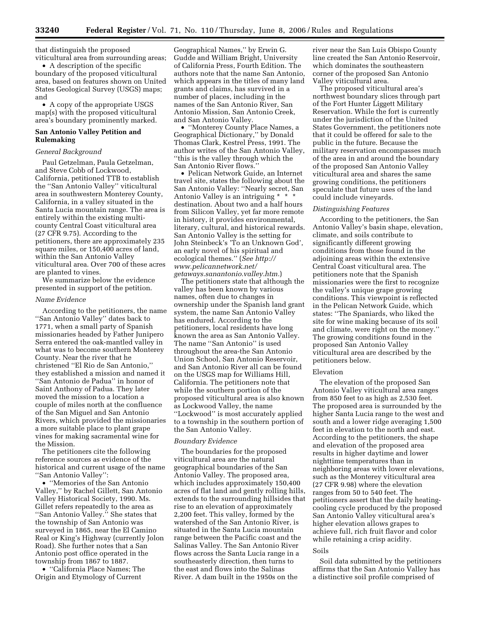that distinguish the proposed viticultural area from surrounding areas;

• A description of the specific boundary of the proposed viticultural area, based on features shown on United States Geological Survey (USGS) maps; and

• A copy of the appropriate USGS map(s) with the proposed viticultural area's boundary prominently marked.

## **San Antonio Valley Petition and Rulemaking**

## *General Background*

Paul Getzelman, Paula Getzelman, and Steve Cobb of Lockwood, California, petitioned TTB to establish the ''San Antonio Valley'' viticultural area in southwestern Monterey County, California, in a valley situated in the Santa Lucia mountain range. The area is entirely within the existing multicounty Central Coast viticultural area (27 CFR 9.75). According to the petitioners, there are approximately 235 square miles, or 150,400 acres of land, within the San Antonio Valley viticultural area. Over 700 of these acres are planted to vines.

We summarize below the evidence presented in support of the petition.

#### *Name Evidence*

According to the petitioners, the name ''San Antonio Valley'' dates back to 1771, when a small party of Spanish missionaries headed by Father Junipero Serra entered the oak-mantled valley in what was to become southern Monterey County. Near the river that he christened ''El Rio de San Antonio,'' they established a mission and named it ''San Antonio de Padua'' in honor of Saint Anthony of Padua. They later moved the mission to a location a couple of miles north at the confluence of the San Miguel and San Antonio Rivers, which provided the missionaries a more suitable place to plant grape vines for making sacramental wine for the Mission.

The petitioners cite the following reference sources as evidence of the historical and current usage of the name ''San Antonio Valley'':

• ''Memories of the San Antonio Valley,'' by Rachel Gillett, San Antonio Valley Historical Society, 1990. Ms. Gillet refers repeatedly to the area as ''San Antonio Valley.'' She states that the township of San Antonio was surveyed in 1865, near the El Camino Real or King's Highway (currently Jolon Road). She further notes that a San Antonio post office operated in the township from 1867 to 1887.

• ''California Place Names; The Origin and Etymology of Current

Geographical Names,'' by Erwin G. Gudde and William Bright, University of California Press, Fourth Edition. The authors note that the name San Antonio, which appears in the titles of many land grants and claims, has survived in a number of places, including in the names of the San Antonio River, San Antonio Mission, San Antonio Creek, and San Antonio Valley.

• ''Monterey County Place Names, a Geographical Dictionary,'' by Donald Thomas Clark, Kestrel Press, 1991. The author writes of the San Antonio Valley, ''this is the valley through which the San Antonio River flows.''

• Pelican Network Guide, an Internet travel site, states the following about the San Antonio Valley: ''Nearly secret, San Antonio Valley is an intriguing \* \* \* destination. About two and a half hours from Silicon Valley, yet far more remote in history, it provides environmental, literary, cultural, and historical rewards. San Antonio Valley is the setting for John Steinbeck's 'To an Unknown God', an early novel of his spiritual and ecological themes.'' (*See http:// www.pelicannetwork.net/ getaways.sanantonio.valley.htm.*)

The petitioners state that although the valley has been known by various names, often due to changes in ownership under the Spanish land grant system, the name San Antonio Valley has endured. According to the petitioners, local residents have long known the area as San Antonio Valley. The name ''San Antonio'' is used throughout the area-the San Antonio Union School, San Antonio Reservoir, and San Antonio River all can be found on the USGS map for Williams Hill, California. The petitioners note that while the southern portion of the proposed viticultural area is also known as Lockwood Valley, the name ''Lockwood'' is most accurately applied to a township in the southern portion of the San Antonio Valley.

### *Boundary Evidence*

The boundaries for the proposed viticultural area are the natural geographical boundaries of the San Antonio Valley. The proposed area, which includes approximately 150,400 acres of flat land and gently rolling hills, extends to the surrounding hillsides that rise to an elevation of approximately 2,200 feet. This valley, formed by the watershed of the San Antonio River, is situated in the Santa Lucia mountain range between the Pacific coast and the Salinas Valley. The San Antonio River flows across the Santa Lucia range in a southeasterly direction, then turns to the east and flows into the Salinas River. A dam built in the 1950s on the

river near the San Luis Obispo County line created the San Antonio Reservoir, which dominates the southeastern corner of the proposed San Antonio Valley viticultural area.

The proposed viticultural area's northwest boundary slices through part of the Fort Hunter Liggett Military Reservation. While the fort is currently under the jurisdiction of the United States Government, the petitioners note that it could be offered for sale to the public in the future. Because the military reservation encompasses much of the area in and around the boundary of the proposed San Antonio Valley viticultural area and shares the same growing conditions, the petitioners speculate that future uses of the land could include vineyards.

# *Distinguishing Features*

According to the petitioners, the San Antonio Valley's basin shape, elevation, climate, and soils contribute to significantly different growing conditions from those found in the adjoining areas within the extensive Central Coast viticultural area. The petitioners note that the Spanish missionaries were the first to recognize the valley's unique grape growing conditions. This viewpoint is reflected in the Pelican Network Guide, which states: ''The Spaniards, who liked the site for wine making because of its soil and climate, were right on the money.'' The growing conditions found in the proposed San Antonio Valley viticultural area are described by the petitioners below.

## Elevation

The elevation of the proposed San Antonio Valley viticultural area ranges from 850 feet to as high as 2,530 feet. The proposed area is surrounded by the higher Santa Lucia range to the west and south and a lower ridge averaging 1,500 feet in elevation to the north and east. According to the petitioners, the shape and elevation of the proposed area results in higher daytime and lower nighttime temperatures than in neighboring areas with lower elevations, such as the Monterey viticultural area (27 CFR 9.98) where the elevation ranges from 50 to 540 feet. The petitioners assert that the daily heatingcooling cycle produced by the proposed San Antonio Valley viticultural area's higher elevation allows grapes to achieve full, rich fruit flavor and color while retaining a crisp acidity.

#### Soils

Soil data submitted by the petitioners affirms that the San Antonio Valley has a distinctive soil profile comprised of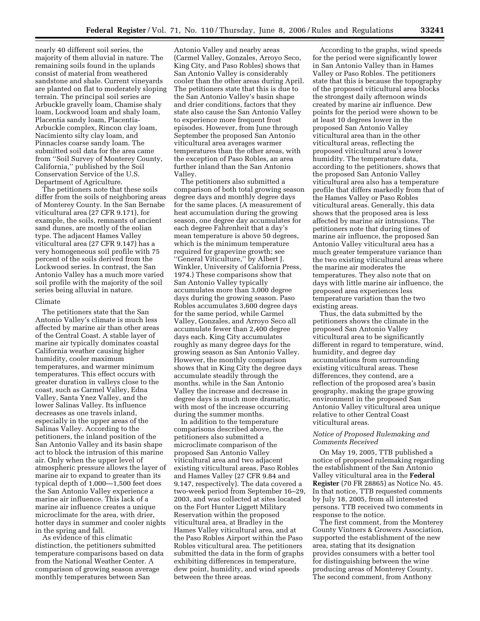nearly 40 different soil series, the majority of them alluvial in nature. The remaining soils found in the uplands consist of material from weathered sandstone and shale. Current vineyards are planted on flat to moderately sloping terrain. The principal soil series are Arbuckle gravelly loam, Chamise shaly loam, Lockwood loam and shaly loam, Placentia sandy loam, Placentia-Arbuckle complex, Rincon clay loam, Nacimiento silty clay loam, and Pinnacles coarse sandy loam. The submitted soil data for the area came from ''Soil Survey of Monterey County, California,'' published by the Soil Conservation Service of the U.S. Department of Agriculture.

The petitioners note that these soils differ from the soils of neighboring areas of Monterey County. In the San Bernabe viticultural area (27 CFR 9.171), for example, the soils, remnants of ancient sand dunes, are mostly of the eolian type. The adjacent Hames Valley viticultural area (27 CFR 9.147) has a very homogeneous soil profile with 75 percent of the soils derived from the Lockwood series. In contrast, the San Antonio Valley has a much more varied soil profile with the majority of the soil series being alluvial in nature.

#### Climate

The petitioners state that the San Antonio Valley's climate is much less affected by marine air than other areas of the Central Coast. A stable layer of marine air typically dominates coastal California weather causing higher humidity, cooler maximum temperatures, and warmer minimum temperatures. This effect occurs with greater duration in valleys close to the coast, such as Carmel Valley, Edna Valley, Santa Ynez Valley, and the lower Salinas Valley. Its influence decreases as one travels inland, especially in the upper areas of the Salinas Valley. According to the petitioners, the inland position of the San Antonio Valley and its basin shape act to block the intrusion of this marine air. Only when the upper level of atmospheric pressure allows the layer of marine air to expand to greater than its typical depth of 1,000—1,500 feet does the San Antonio Valley experience a marine air influence. This lack of a marine air influence creates a unique microclimate for the area, with drier, hotter days in summer and cooler nights in the spring and fall.

As evidence of this climatic distinction, the petitioners submitted temperature comparisons based on data from the National Weather Center. A comparison of growing season average monthly temperatures between San

Antonio Valley and nearby areas (Carmel Valley, Gonzales, Arroyo Seco, King City, and Paso Robles) shows that San Antonio Valley is considerably cooler than the other areas during April. The petitioners state that this is due to the San Antonio Valley's basin shape and drier conditions, factors that they state also cause the San Antonio Valley to experience more frequent frost episodes. However, from June through September the proposed San Antonio viticultural area averages warmer temperatures than the other areas, with the exception of Paso Robles, an area further inland than the San Antonio Valley.

The petitioners also submitted a comparison of both total growing season degree days and monthly degree days for the same places. (A measurement of heat accumulation during the growing season, one degree day accumulates for each degree Fahrenheit that a day's mean temperature is above 50 degrees, which is the minimum temperature required for grapevine growth; see ''General Viticulture,'' by Albert J. Winkler, University of California Press, 1974.) These comparisons show that San Antonio Valley typically accumulates more than 3,000 degree days during the growing season. Paso Robles accumulates 3,600 degree days for the same period, while Carmel Valley, Gonzales, and Arroyo Seco all accumulate fewer than 2,400 degree days each. King City accumulates roughly as many degree days for the growing season as San Antonio Valley. However, the monthly comparison shows that in King City the degree days accumulate steadily through the months, while in the San Antonio Valley the increase and decrease in degree days is much more dramatic, with most of the increase occurring during the summer months.

In addition to the temperature comparisons described above, the petitioners also submitted a microclimate comparison of the proposed San Antonio Valley viticultural area and two adjacent existing viticultural areas, Paso Robles and Hames Valley (27 CFR 9.84 and 9.147, respectively). The data covered a two-week period from September 16–29, 2003, and was collected at sites located on the Fort Hunter Liggett Military Reservation within the proposed viticultural area, at Bradley in the Hames Valley viticultural area, and at the Paso Robles Airport within the Paso Robles viticultural area. The petitioners submitted the data in the form of graphs exhibiting differences in temperature, dew point, humidity, and wind speeds between the three areas.

According to the graphs, wind speeds for the period were significantly lower in San Antonio Valley than in Hames Valley or Paso Robles. The petitioners state that this is because the topography of the proposed viticultural area blocks the strongest daily afternoon winds created by marine air influence. Dew points for the period were shown to be at least 10 degrees lower in the proposed San Antonio Valley viticultural area than in the other viticultural areas, reflecting the proposed viticultural area's lower humidity. The temperature data, according to the petitioners, shows that the proposed San Antonio Valley viticultural area also has a temperature profile that differs markedly from that of the Hames Valley or Paso Robles viticultural areas. Generally, this data shows that the proposed area is less affected by marine air intrusions. The petitioners note that during times of marine air influence, the proposed San Antonio Valley viticultural area has a much greater temperature variance than the two existing viticultural areas where the marine air moderates the temperatures. They also note that on days with little marine air influence, the proposed area experiences less temperature variation than the two existing areas.

Thus, the data submitted by the petitioners shows the climate in the proposed San Antonio Valley viticultural area to be significantly different in regard to temperature, wind, humidity, and degree day accumulations from surrounding existing viticultural areas. These differences, they contend, are a reflection of the proposed area's basin geography, making the grape growing environment in the proposed San Antonio Valley viticultural area unique relative to other Central Coast viticultural areas.

## *Notice of Proposed Rulemaking and Comments Received*

On May 19, 2005, TTB published a notice of proposed rulemaking regarding the establishment of the San Antonio Valley viticultural area in the **Federal Register** (70 FR 28865) as Notice No. 45. In that notice, TTB requested comments by July 18, 2005, from all interested persons. TTB received two comments in response to the notice.

The first comment, from the Monterey County Vintners & Growers Association, supported the establishment of the new area, stating that its designation provides consumers with a better tool for distinguishing between the wine producing areas of Monterey County. The second comment, from Anthony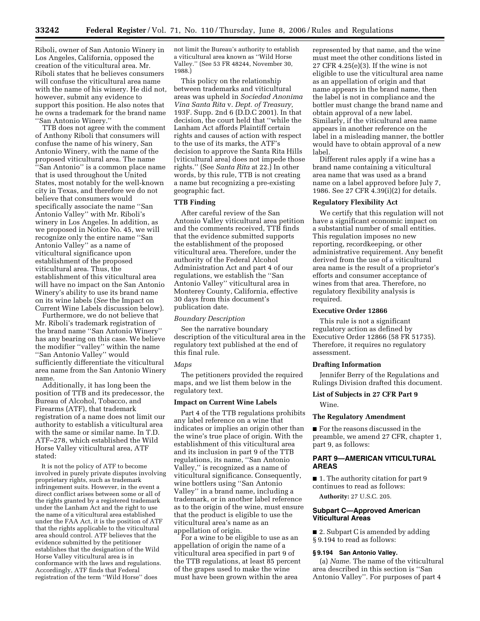Riboli, owner of San Antonio Winery in Los Angeles, California, opposed the creation of the viticultural area. Mr. Riboli states that he believes consumers will confuse the viticultural area name with the name of his winery. He did not, however, submit any evidence to support this position. He also notes that he owns a trademark for the brand name ''San Antonio Winery.''

TTB does not agree with the comment of Anthony Riboli that consumers will confuse the name of his winery, San Antonio Winery, with the name of the proposed viticultural area. The name ''San Antonio'' is a common place name that is used throughout the United States, most notably for the well-known city in Texas, and therefore we do not believe that consumers would specifically associate the name ''San Antonio Valley'' with Mr. Riboli's winery in Los Angeles. In addition, as we proposed in Notice No. 45, we will recognize only the entire name ''San Antonio Valley'' as a name of viticultural significance upon establishment of the proposed viticultural area. Thus, the establishment of this viticultural area will have no impact on the San Antonio Winery's ability to use its brand name on its wine labels (*See* the Impact on Current Wine Labels discussion below).

Furthermore, we do not believe that Mr. Riboli's trademark registration of the brand name ''San Antonio Winery'' has any bearing on this case. We believe the modifier ''valley'' within the name ''San Antonio Valley'' would sufficiently differentiate the viticultural area name from the San Antonio Winery name.

Additionally, it has long been the position of TTB and its predecessor, the Bureau of Alcohol, Tobacco, and Firearms (ATF), that trademark registration of a name does not limit our authority to establish a viticultural area with the same or similar name. In T.D. ATF–278, which established the Wild Horse Valley viticultural area, ATF stated:

It is not the policy of ATF to become involved in purely private disputes involving proprietary rights, such as trademark infringement suits. However, in the event a direct conflict arises between some or all of the rights granted by a registered trademark under the Lanham Act and the right to use the name of a viticultural area established under the FAA Act, it is the position of ATF that the rights applicable to the viticultural area should control. ATF believes that the evidence submitted by the petitioner establishes that the designation of the Wild Horse Valley viticultural area is in conformance with the laws and regulations. Accordingly, ATF finds that Federal registration of the term ''Wild Horse'' does

not limit the Bureau's authority to establish a viticultural area known as ''Wild Horse Valley.'' (See 53 FR 48244, November 30, 1988.)

This policy on the relationship between trademarks and viticultural areas was upheld in *Sociedad Anonima Vina Santa Rita* v. *Dept. of Treasury,*  193F. Supp. 2nd 6 (D.D.C 2001). In that decision, the court held that ''while the Lanham Act affords Plaintiff certain rights and causes of action with respect to the use of its marks, the ATF's decision to approve the Santa Rita Hills [viticultural area] does not impede those rights.'' (See *Santa Rita* at 22.) In other words, by this rule, TTB is not creating a name but recognizing a pre-existing geographic fact.

#### **TTB Finding**

After careful review of the San Antonio Valley viticultural area petition and the comments received, TTB finds that the evidence submitted supports the establishment of the proposed viticultural area. Therefore, under the authority of the Federal Alcohol Administration Act and part 4 of our regulations, we establish the ''San Antonio Valley'' viticultural area in Monterey County, California, effective 30 days from this document's publication date.

### *Boundary Description*

See the narrative boundary description of the viticultural area in the regulatory text published at the end of this final rule.

#### *Maps*

The petitioners provided the required maps, and we list them below in the regulatory text.

#### **Impact on Current Wine Labels**

Part 4 of the TTB regulations prohibits any label reference on a wine that indicates or implies an origin other than the wine's true place of origin. With the establishment of this viticultural area and its inclusion in part 9 of the TTB regulations, its name, ''San Antonio Valley,'' is recognized as a name of viticultural significance. Consequently, wine bottlers using ''San Antonio Valley'' in a brand name, including a trademark, or in another label reference as to the origin of the wine, must ensure that the product is eligible to use the viticultural area's name as an appellation of origin.

For a wine to be eligible to use as an appellation of origin the name of a viticultural area specified in part 9 of the TTB regulations, at least 85 percent of the grapes used to make the wine must have been grown within the area

represented by that name, and the wine must meet the other conditions listed in 27 CFR 4.25(e)(3). If the wine is not eligible to use the viticultural area name as an appellation of origin and that name appears in the brand name, then the label is not in compliance and the bottler must change the brand name and obtain approval of a new label. Similarly, if the viticultural area name appears in another reference on the label in a misleading manner, the bottler would have to obtain approval of a new label.

Different rules apply if a wine has a brand name containing a viticultural area name that was used as a brand name on a label approved before July 7, 1986. See 27 CFR 4.39(i)(2) for details.

#### **Regulatory Flexibility Act**

We certify that this regulation will not have a significant economic impact on a substantial number of small entities. This regulation imposes no new reporting, recordkeeping, or other administrative requirement. Any benefit derived from the use of a viticultural area name is the result of a proprietor's efforts and consumer acceptance of wines from that area. Therefore, no regulatory flexibility analysis is required.

## **Executive Order 12866**

This rule is not a significant regulatory action as defined by Executive Order 12866 (58 FR 51735). Therefore, it requires no regulatory assessment.

#### **Drafting Information**

Jennifer Berry of the Regulations and Rulings Division drafted this document.

#### **List of Subjects in 27 CFR Part 9**

Wine.

## **The Regulatory Amendment**

■ For the reasons discussed in the preamble, we amend 27 CFR, chapter 1, part 9, as follows:

## **PART 9—AMERICAN VITICULTURAL AREAS**

■ 1. The authority citation for part 9 continues to read as follows:

**Authority:** 27 U.S.C. 205.

## **Subpart C—Approved American Viticultural Areas**

■ 2. Subpart C is amended by adding § 9.194 to read as follows:

## **§ 9.194 San Antonio Valley.**

(a) *Name*. The name of the viticultural area described in this section is ''San Antonio Valley''. For purposes of part 4